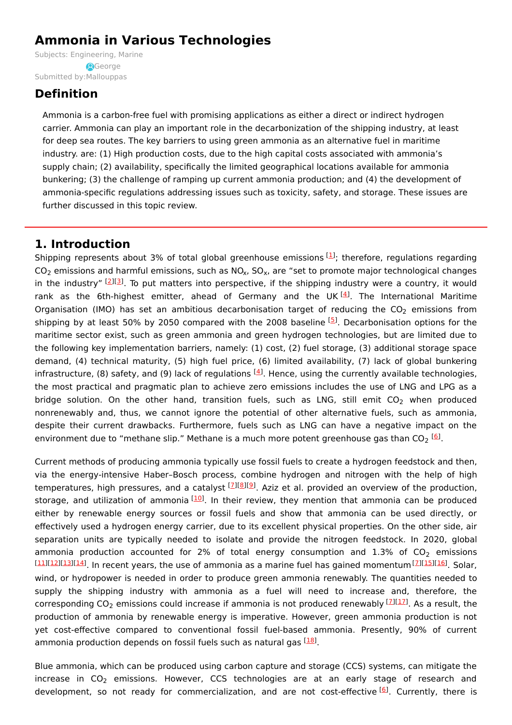# **Ammonia in Various Technologies**

Subjects: [Engineering,](https://encyclopedia.pub/item/subject/230) Marine Submitted by: [Mallouppas](https://sciprofiles.com/profile/1520169) **A**George

# **Definition**

Ammonia is a carbon-free fuel with promising applications as either a direct or indirect hydrogen carrier. Ammonia can play an important role in the decarbonization of the shipping industry, at least for deep sea routes. The key barriers to using green ammonia as an alternative fuel in maritime industry. are: (1) High production costs, due to the high capital costs associated with ammonia's supply chain; (2) availability, specifically the limited geographical locations available for ammonia bunkering; (3) the challenge of ramping up current ammonia production; and (4) the development of ammonia-specific regulations addressing issues such as toxicity, safety, and storage. These issues are further discussed in this topic review.

# **1. Introduction**

Shipping represents about 3% of total global greenhouse emissions  $[1]$  $[1]$  $[1]$ ; therefore, regulations regarding CO<sub>2</sub> emissions and harmful emissions, such as NO<sub>x</sub>, SO<sub>x</sub>, are "set to promote major technological changes in the industry" <sup>[\[2](#page-4-1)][[3](#page-4-2)]</sup>. To put matters into perspective, if the shipping industry were a country, it would rank as the 6th-highest emitter, ahead of Germany and the UK<sup>[\[4](#page-4-3)]</sup>. The International Maritime Organisation (IMO) has set an ambitious decarbonisation target of reducing the CO<sub>2</sub> emissions from shipping by at least 50% by 2050 compared with the 2008 baseline <sup>[\[5](#page-4-4)]</sup>. Decarbonisation options for the maritime sector exist, such as green ammonia and green hydrogen technologies, but are limited due to the following key implementation barriers, namely: (1) cost, (2) fuel storage, (3) additional storage space demand, (4) technical maturity, (5) high fuel price, (6) limited availability, (7) lack of global bunkering infrastructure, (8) safety, and (9) lack of regulations <sup>[[4](#page-4-3)]</sup>. Hence, using the currently available technologies, the most practical and pragmatic plan to achieve zero emissions includes the use of LNG and LPG as a bridge solution. On the other hand, transition fuels, such as LNG, still emit  $CO_2$  when produced nonrenewably and, thus, we cannot ignore the potential of other alternative fuels, such as ammonia, despite their current drawbacks. Furthermore, fuels such as LNG can have a negative impact on the environment due to "methane slip." Methane is a much more potent greenhouse gas than CO<sub>2</sub> [<u>6</u>].

Current methods of producing ammonia typically use fossil fuels to create a hydrogen feedstock and then, via the energy-intensive Haber–Bosch process, combine hydrogen and nitrogen with the help of high temperatures, high pressures, and a catalyst [2][\[8](#page-4-7)][[9](#page-4-8)]. Aziz et al. provided an overview of the production, storage, and utilization of ammonia [\[10](#page-4-9)]. In their review, they mention that ammonia can be produced either by renewable energy sources or fossil fuels and show that ammonia can be used directly, or effectively used a hydrogen energy carrier, due to its excellent physical properties. On the other side, air separation units are typically needed to isolate and provide the nitrogen feedstock. In 2020, global ammonia production accounted for 2% of total energy consumption and 1.3% of  $CO_2$  emissions [[11](#page-4-10)][\[12\]](#page-4-11)[[13](#page-4-12)][\[14\]](#page-4-13). In recent years, the use of ammonia as a marine fuel has gained momentum [2][[15](#page-4-14)][[16](#page-4-15)]. Solar, wind, or hydropower is needed in order to produce green ammonia renewably. The quantities needed to supply the shipping industry with ammonia as a fuel will need to increase and, therefore, the corresponding CO<sub>2</sub> emissions could increase if ammonia is not produced renewably [ZI[1[7](#page-4-6)]. As a result, the production of ammonia by renewable energy is imperative. However, green ammonia production is not yet cost-effective compared to conventional fossil fuel-based ammonia. Presently, 90% of current ammonia production depends on fossil fuels such as natural gas <sup>[[18](#page-4-17)]</sup>.

Blue ammonia, which can be produced using carbon capture and storage (CCS) systems, can mitigate the increase in  $CO_2$  emissions. However, CCS technologies are at an early stage of research and development, so not ready for commercialization, and are not cost-effective <sup>[\[6](#page-4-5)]</sup>. Currently, there is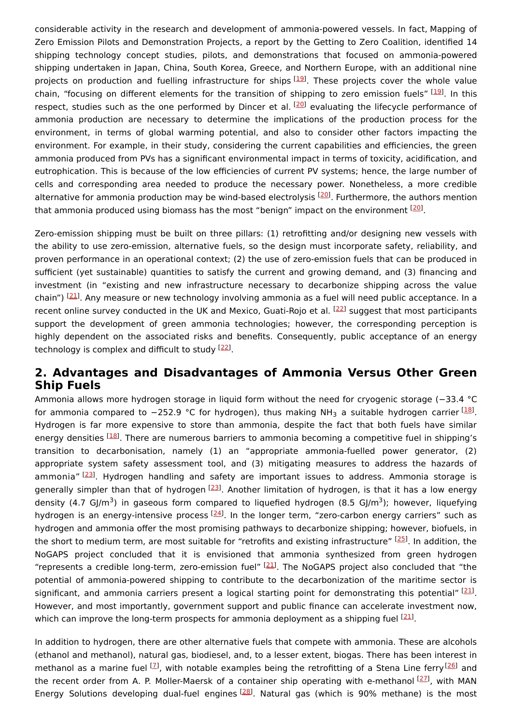considerable activity in the research and development of ammonia-powered vessels. In fact, Mapping of Zero Emission Pilots and Demonstration Projects, a report by the Getting to Zero Coalition, identified 14 shipping technology concept studies, pilots, and demonstrations that focused on ammonia-powered shipping undertaken in Japan, China, South Korea, Greece, and Northern Europe, with an additional nine projects on production and fuelling infrastructure for ships [[19](#page-4-18)]. These projects cover the whole value chain, "focusing on different elements for the transition of shipping to zero emission fuels" [\[19](#page-4-18)]. In this respect, studies such as the one performed by Dincer et al. <sup>[[20](#page-4-19)]</sup> evaluating the lifecycle performance of ammonia production are necessary to determine the implications of the production process for the environment, in terms of global warming potential, and also to consider other factors impacting the environment. For example, in their study, considering the current capabilities and efficiencies, the green ammonia produced from PVs has a significant environmental impact in terms of toxicity, acidification, and eutrophication. This is because of the low efficiencies of current PV systems; hence, the large number of cells and corresponding area needed to produce the necessary power. Nonetheless, a more credible alternative for ammonia production may be wind-based electrolysis <sup>[\[20](#page-4-19)]</sup>. Furthermore, the authors mention that ammonia produced using biomass has the most "benign" impact on the environment <sup>[\[20](#page-4-19)]</sup>.

Zero-emission shipping must be built on three pillars: (1) retrofitting and/or designing new vessels with the ability to use zero-emission, alternative fuels, so the design must incorporate safety, reliability, and proven performance in an operational context; (2) the use of zero-emission fuels that can be produced in sufficient (yet sustainable) quantities to satisfy the current and growing demand, and (3) financing and investment (in "existing and new infrastructure necessary to decarbonize shipping across the value chain") <sup>[\[21](#page-4-20)]</sup>. Any measure or new technology involving ammonia as a fuel will need public acceptance. In a recent online survey conducted in the UK and Mexico, Guati-Rojo et al. <sup>[\[22](#page-4-21)]</sup> suggest that most participants support the development of green ammonia technologies; however, the corresponding perception is highly dependent on the associated risks and benefits. Consequently, public acceptance of an energy technology is complex and difficult to study [\[22\]](#page-4-21).

### **2. Advantages and Disadvantages of Ammonia Versus Other Green Ship Fuels**

Ammonia allows more hydrogen storage in liquid form without the need for cryogenic storage (−33.4 °C for ammonia compared to −252.9 °C for hydrogen), thus making NH<sub>3</sub> a suitable hydrogen carrier <sup>[<u>18</u>]</sup>. Hydrogen is far more expensive to store than ammonia, despite the fact that both fuels have similar energy densities <sup>[[18\]](#page-4-17)</sup>. There are numerous barriers to ammonia becoming a competitive fuel in shipping's transition to decarbonisation, namely (1) an "appropriate ammonia-fuelled power generator, (2) appropriate system safety assessment tool, and (3) mitigating measures to address the hazards of ammonia" [\[23](#page-4-22)]. Hydrogen handling and safety are important issues to address. Ammonia storage is generally simpler than that of hydrogen <sup>[\[23](#page-4-22)]</sup>. Another limitation of hydrogen, is that it has a low energy density (4.7 GJ/m<sup>3</sup>) in gaseous form compared to liquefied hydrogen (8.5 GJ/m<sup>3</sup>); however, liquefying hydrogen is an energy-intensive process <sup>[[24](#page-4-23)]</sup>. In the longer term, "zero-carbon energy carriers" such as hydrogen and ammonia offer the most promising pathways to decarbonize shipping; however, biofuels, in the short to medium term, are most suitable for "retrofits and existing infrastructure" [\[25](#page-4-24)]. In addition, the NoGAPS project concluded that it is envisioned that ammonia synthesized from green hydrogen "represents a credible long-term, zero-emission fuel"  $[21]$  $[21]$ . The NoGAPS project also concluded that "the potential of ammonia-powered shipping to contribute to the decarbonization of the maritime sector is significant, and ammonia carriers present a logical starting point for demonstrating this potential" [\[21](#page-4-20)]. However, and most importantly, government support and public finance can accelerate investment now, which can improve the long-term prospects for ammonia deployment as a shipping fuel  $^{[21]}$  $^{[21]}$  $^{[21]}$ .

In addition to hydrogen, there are other alternative fuels that compete with ammonia. These are alcohols (ethanol and methanol), natural gas, biodiesel, and, to a lesser extent, biogas. There has been interest in methanol as a marine fuel <sup>[\[7](#page-4-6)]</sup>, with notable examples being the retrofitting of a Stena Line ferry [[26](#page-4-25)] and the recent order from A. P. Moller-Maersk of a container ship operating with e-methanol [[27](#page-5-0)], with MAN Energy Solutions developing dual-fuel engines  $^{[28]}$  $^{[28]}$  $^{[28]}$ . Natural gas (which is 90% methane) is the most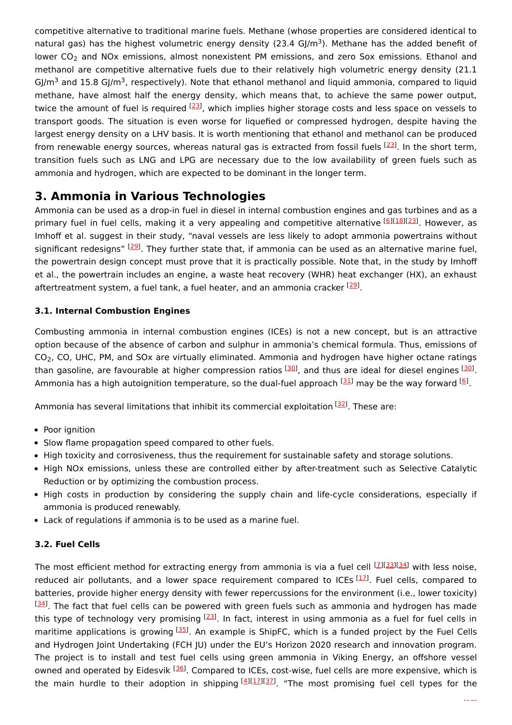competitive alternative to traditional marine fuels. Methane (whose properties are considered identical to natural gas) has the highest volumetric energy density (23.4 GJ/m<sup>3</sup>). Methane has the added benefit of lower  $\textsf{CO}_2$  and NOx emissions, almost nonexistent PM emissions, and zero Sox emissions. Ethanol and methanol are competitive alternative fuels due to their relatively high volumetric energy density (21.1 GJ/m<sup>3</sup> and 15.8 GJ/m<sup>3</sup>, respectively). Note that ethanol methanol and liquid ammonia, compared to liquid methane, have almost half the energy density, which means that, to achieve the same power output, twice the amount of fuel is required <sup>[[23\]](#page-4-22)</sup>, which implies higher storage costs and less space on vessels to transport goods. The situation is even worse for liquefied or compressed hydrogen, despite having the largest energy density on a LHV basis. It is worth mentioning that ethanol and methanol can be produced from renewable energy sources, whereas natural gas is extracted from fossil fuels [\[23](#page-4-22)]. In the short term, transition fuels such as LNG and LPG are necessary due to the low availability of green fuels such as ammonia and hydrogen, which are expected to be dominant in the longer term.

# **3. Ammonia in Various Technologies**

Ammonia can be used as a drop-in fuel in diesel in internal combustion engines and gas turbines and as a primary fuel in fuel cells, making it a very appealing and competitive alternative [\[6](#page-4-5)][\[18](#page-4-17)][\[23](#page-4-22)]. However, as Imhoff et al. suggest in their study, "naval vessels are less likely to adopt ammonia powertrains without significant redesigns" <sup>[[29](#page-5-2)]</sup>. They further state that, if ammonia can be used as an alternative marine fuel, the powertrain design concept must prove that it is practically possible. Note that, in the study by Imhoff et al., the powertrain includes an engine, a waste heat recovery (WHR) heat exchanger (HX), an exhaust aftertreatment system, a fuel tank, a fuel heater, and an ammonia cracker <a>[[29](#page-5-2)]</a>.

### **3.1. Internal Combustion Engines**

Combusting ammonia in internal combustion engines (ICEs) is not a new concept, but is an attractive option because of the absence of carbon and sulphur in ammonia's chemical formula. Thus, emissions of CO<sub>2</sub>, CO, UHC, PM, and SOx are virtually eliminated. Ammonia and hydrogen have higher octane ratings than gasoline, are favourable at higher compression ratios <sup>[[30\]](#page-5-3)</sup>, and thus are ideal for diesel engines <sup>[\[30](#page-5-3)]</sup>. Ammonia has a high autoignition temperature, so the dual-fuel approach  $^{[31]}$  $^{[31]}$  $^{[31]}$  may be the way forward  $^{[6]}$  $^{[6]}$  $^{[6]}$ .

Ammonia has several limitations that inhibit its commercial exploitation <sup>[[32](#page-5-5)]</sup>. These are:

- Poor ignition
- Slow flame propagation speed compared to other fuels.
- High toxicity and corrosiveness, thus the requirement for sustainable safety and storage solutions.
- High NOx emissions, unless these are controlled either by after-treatment such as Selective Catalytic Reduction or by optimizing the combustion process.
- High costs in production by considering the supply chain and life-cycle considerations, especially if ammonia is produced renewably.
- Lack of regulations if ammonia is to be used as a marine fuel.

### **3.2. Fuel Cells**

The most efficient method for extracting energy from ammonia is via a fuel cell [\[7](#page-4-6)][\[33\]](#page-5-6)[[34](#page-5-7)] with less noise, reduced air pollutants, and a lower space requirement compared to ICEs [\[17](#page-4-16)]. Fuel cells, compared to batteries, provide higher energy density with fewer repercussions for the environment (i.e., lower toxicity)  $^{[34]}$  $^{[34]}$  $^{[34]}$ . The fact that fuel cells can be powered with green fuels such as ammonia and hydrogen has made this type of technology very promising <sup>[\[23](#page-4-22)]</sup>. In fact, interest in using ammonia as a fuel for fuel cells in maritime applications is growing  $^{[35]}$  $^{[35]}$  $^{[35]}$ . An example is ShipFC, which is a funded project by the Fuel Cells and Hydrogen Joint Undertaking (FCH JU) under the EU's Horizon 2020 research and innovation program. The project is to install and test fuel cells using green ammonia in Viking Energy, an offshore vessel owned and operated by Eidesvik <sup>[\[36](#page-5-9)]</sup>. Compared to ICEs, cost-wise, fuel cells are more expensive, which is the main hurdle to their adoption in shipping  $[4][17][37]$  $[4][17][37]$  $[4][17][37]$  $[4][17][37]$  $[4][17][37]$  $[4][17][37]$  $[4][17][37]$  "The most promising fuel cell types for the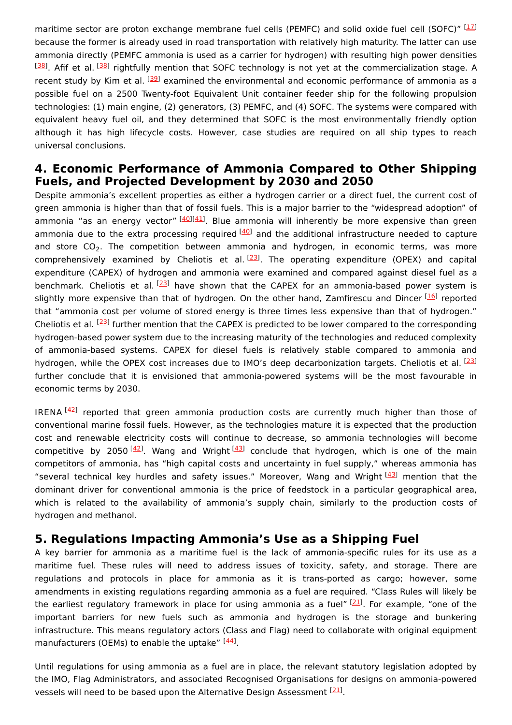maritime sector are proton exchange membrane fuel cells (PEMFC) and solid oxide fuel cell (SOFC)" [\[17](#page-4-16)] because the former is already used in road transportation with relatively high maturity. The latter can use ammonia directly (PEMFC ammonia is used as a carrier for hydrogen) with resulting high power densities [[38](#page-5-11)]. Afif et al. <sup>[38]</sup> rightfully mention that SOFC technology is not yet at the commercialization stage. A recent study by Kim et al. <sup>[\[39](#page-5-12)]</sup> examined the environmental and economic performance of ammonia as a possible fuel on a 2500 Twenty-foot Equivalent Unit container feeder ship for the following propulsion technologies: (1) main engine, (2) generators, (3) PEMFC, and (4) SOFC. The systems were compared with equivalent heavy fuel oil, and they determined that SOFC is the most environmentally friendly option although it has high lifecycle costs. However, case studies are required on all ship types to reach universal conclusions.

## **4. Economic Performance of Ammonia Compared to Other Shipping Fuels, and Projected Development by 2030 and 2050**

Despite ammonia's excellent properties as either a hydrogen carrier or a direct fuel, the current cost of green ammonia is higher than that of fossil fuels. This is a major barrier to the "widespread adoption" of ammonia "as an energy vector" [[40](#page-5-13)][\[41\]](#page-5-14). Blue ammonia will inherently be more expensive than green ammonia due to the extra processing required <sup>[\[40](#page-5-13)]</sup> and the additional infrastructure needed to capture and store  $CO_2$ . The competition between ammonia and hydrogen, in economic terms, was more comprehensively examined by Cheliotis et al.<sup>[[23](#page-4-22)]</sup>. The operating expenditure (OPEX) and capital expenditure (CAPEX) of hydrogen and ammonia were examined and compared against diesel fuel as a benchmark. Cheliotis et al.<sup>[\[23](#page-4-22)]</sup> have shown that the CAPEX for an ammonia-based power system is slightly more expensive than that of hydrogen. On the other hand, Zamfirescu and Dincer [\[16\]](#page-4-15) reported that "ammonia cost per volume of stored energy is three times less expensive than that of hydrogen." Cheliotis et al. <sup>[[23](#page-4-22)]</sup> further mention that the CAPEX is predicted to be lower compared to the corresponding hydrogen-based power system due to the increasing maturity of the technologies and reduced complexity of ammonia-based systems. CAPEX for diesel fuels is relatively stable compared to ammonia and hydrogen, while the OPEX cost increases due to IMO's deep decarbonization targets. Cheliotis et al. [\[23](#page-4-22)] further conclude that it is envisioned that ammonia-powered systems will be the most favourable in economic terms by 2030.

IRENA<sup>[\[42](#page-5-15)]</sup> reported that green ammonia production costs are currently much higher than those of conventional marine fossil fuels. However, as the technologies mature it is expected that the production cost and renewable electricity costs will continue to decrease, so ammonia technologies will become competitive by 2050<sup>[\[42\]](#page-5-15)</sup>. Wang and Wright<sup>[\[43](#page-5-16)]</sup> conclude that hydrogen, which is one of the main competitors of ammonia, has "high capital costs and uncertainty in fuel supply," whereas ammonia has "several technical key hurdles and safety issues." Moreover, Wang and Wright [\[43](#page-5-16)] mention that the dominant driver for conventional ammonia is the price of feedstock in a particular geographical area, which is related to the availability of ammonia's supply chain, similarly to the production costs of hydrogen and methanol.

## **5. Regulations Impacting Ammonia's Use as a Shipping Fuel**

A key barrier for ammonia as a maritime fuel is the lack of ammonia-specific rules for its use as a maritime fuel. These rules will need to address issues of toxicity, safety, and storage. There are regulations and protocols in place for ammonia as it is trans-ported as cargo; however, some amendments in existing regulations regarding ammonia as a fuel are required. "Class Rules will likely be the earliest regulatory framework in place for using ammonia as a fuel" [[21](#page-4-20)]. For example, "one of the important barriers for new fuels such as ammonia and hydrogen is the storage and bunkering infrastructure. This means regulatory actors (Class and Flag) need to collaborate with original equipment manufacturers (OEMs) to enable the uptake" [\[44\]](#page-5-17).

Until regulations for using ammonia as a fuel are in place, the relevant statutory legislation adopted by the IMO, Flag Administrators, and associated Recognised Organisations for designs on ammonia-powered vessels will need to be based upon the Alternative Design Assessment <sup>[[21](#page-4-20)]</sup>.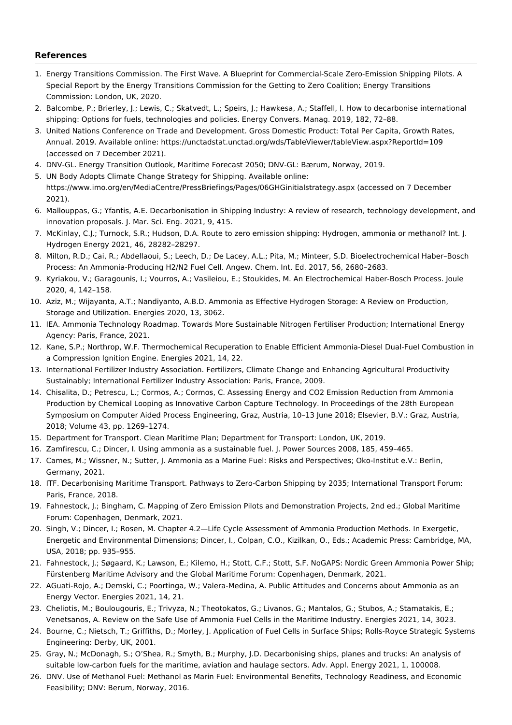#### **References**

- <span id="page-4-0"></span>1. Energy Transitions Commission. The First Wave. A Blueprint for Commercial-Scale Zero-Emission Shipping Pilots. A Special Report by the Energy Transitions Commission for the Getting to Zero Coalition; Energy Transitions Commission: London, UK, 2020.
- <span id="page-4-1"></span>2. Balcombe, P.; Brierley, J.; Lewis, C.; Skatvedt, L.; Speirs, J.; Hawkesa, A.; Staffell, I. How to decarbonise international shipping: Options for fuels, technologies and policies. Energy Convers. Manag. 2019, 182, 72–88.
- <span id="page-4-2"></span>3. United Nations Conference on Trade and Development. Gross Domestic Product: Total Per Capita, Growth Rates, Annual. 2019. Available online: https://unctadstat.unctad.org/wds/TableViewer/tableView.aspx?ReportId=109 (accessed on 7 December 2021).
- <span id="page-4-3"></span>4. DNV-GL. Energy Transition Outlook, Maritime Forecast 2050; DNV-GL: Bærum, Norway, 2019.
- <span id="page-4-4"></span>5. UN Body Adopts Climate Change Strategy for Shipping. Available online: https://www.imo.org/en/MediaCentre/PressBriefings/Pages/06GHGinitialstrategy.aspx (accessed on 7 December 2021).
- <span id="page-4-5"></span>6. Mallouppas, G.; Yfantis, A.E. Decarbonisation in Shipping Industry: A review of research, technology development, and innovation proposals. J. Mar. Sci. Eng. 2021, 9, 415.
- <span id="page-4-6"></span>7. McKinlay, C.J.; Turnock, S.R.; Hudson, D.A. Route to zero emission shipping: Hydrogen, ammonia or methanol? Int. J. Hydrogen Energy 2021, 46, 28282–28297.
- <span id="page-4-7"></span>8. Milton, R.D.; Cai, R.; Abdellaoui, S.; Leech, D.; De Lacey, A.L.; Pita, M.; Minteer, S.D. Bioelectrochemical Haber–Bosch Process: An Ammonia-Producing H2/N2 Fuel Cell. Angew. Chem. Int. Ed. 2017, 56, 2680–2683.
- <span id="page-4-8"></span>9. Kyriakou, V.; Garagounis, I.; Vourros, A.; Vasileiou, E.; Stoukides, M. An Electrochemical Haber-Bosch Process. Joule 2020, 4, 142–158.
- <span id="page-4-9"></span>10. Aziz, M.; Wijayanta, A.T.; Nandiyanto, A.B.D. Ammonia as Effective Hydrogen Storage: A Review on Production, Storage and Utilization. Energies 2020, 13, 3062.
- <span id="page-4-10"></span>11. IEA. Ammonia Technology Roadmap. Towards More Sustainable Nitrogen Fertiliser Production; International Energy Agency: Paris, France, 2021.
- <span id="page-4-11"></span>12. Kane, S.P.; Northrop, W.F. Thermochemical Recuperation to Enable Efficient Ammonia-Diesel Dual-Fuel Combustion in a Compression Ignition Engine. Energies 2021, 14, 22.
- <span id="page-4-12"></span>13. International Fertilizer Industry Association. Fertilizers, Climate Change and Enhancing Agricultural Productivity Sustainably; International Fertilizer Industry Association: Paris, France, 2009.
- <span id="page-4-13"></span>14. Chisalita, D.; Petrescu, L.; Cormos, A.; Cormos, C. Assessing Energy and CO2 Emission Reduction from Ammonia Production by Chemical Looping as Innovative Carbon Capture Technology. In Proceedings of the 28th European Symposium on Computer Aided Process Engineering, Graz, Austria, 10–13 June 2018; Elsevier, B.V.: Graz, Austria, 2018; Volume 43, pp. 1269–1274.
- <span id="page-4-14"></span>15. Department for Transport. Clean Maritime Plan; Department for Transport: London, UK, 2019.
- <span id="page-4-15"></span>16. Zamfirescu, C.; Dincer, I. Using ammonia as a sustainable fuel. J. Power Sources 2008, 185, 459–465.
- <span id="page-4-16"></span>17. Cames, M.; Wissner, N.; Sutter, J. Ammonia as a Marine Fuel: Risks and Perspectives; Oko-Institut e.V.: Berlin, Germany, 2021.
- <span id="page-4-17"></span>18. ITF. Decarbonising Maritime Transport. Pathways to Zero-Carbon Shipping by 2035; International Transport Forum: Paris, France, 2018.
- <span id="page-4-18"></span>19. Fahnestock, J.; Bingham, C. Mapping of Zero Emission Pilots and Demonstration Projects, 2nd ed.; Global Maritime Forum: Copenhagen, Denmark, 2021.
- <span id="page-4-19"></span>20. Singh, V.; Dincer, I.; Rosen, M. Chapter 4.2—Life Cycle Assessment of Ammonia Production Methods. In Exergetic, Energetic and Environmental Dimensions; Dincer, I., Colpan, C.O., Kizilkan, O., Eds.; Academic Press: Cambridge, MA, USA, 2018; pp. 935–955.
- <span id="page-4-20"></span>21. Fahnestock, J.; Søgaard, K.; Lawson, E.; Kilemo, H.; Stott, C.F.; Stott, S.F. NoGAPS: Nordic Green Ammonia Power Ship; Fürstenberg Maritime Advisory and the Global Maritime Forum: Copenhagen, Denmark, 2021.
- <span id="page-4-21"></span>22. AGuati-Rojo, A.; Demski, C.; Poortinga, W.; Valera-Medina, A. Public Attitudes and Concerns about Ammonia as an Energy Vector. Energies 2021, 14, 21.
- <span id="page-4-22"></span>23. Cheliotis, M.; Boulougouris, E.; Trivyza, N.; Theotokatos, G.; Livanos, G.; Mantalos, G.; Stubos, A.; Stamatakis, E.; Venetsanos, A. Review on the Safe Use of Ammonia Fuel Cells in the Maritime Industry. Energies 2021, 14, 3023.
- <span id="page-4-23"></span>24. Bourne, C.; Nietsch, T.; Griffiths, D.; Morley, J. Application of Fuel Cells in Surface Ships; Rolls-Royce Strategic Systems Engineering: Derby, UK, 2001.
- <span id="page-4-24"></span>25. Gray, N.; McDonagh, S.; O'Shea, R.; Smyth, B.; Murphy, J.D. Decarbonising ships, planes and trucks: An analysis of suitable low-carbon fuels for the maritime, aviation and haulage sectors. Adv. Appl. Energy 2021, 1, 100008.
- <span id="page-4-25"></span>26. DNV. Use of Methanol Fuel: Methanol as Marin Fuel: Environmental Benefits, Technology Readiness, and Economic Feasibility; DNV: Berum, Norway, 2016.